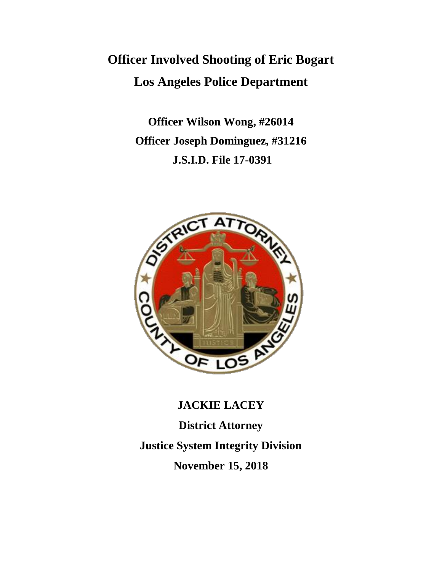# **Officer Involved Shooting of Eric Bogart Los Angeles Police Department**

**Officer Wilson Wong, #26014 Officer Joseph Dominguez, #31216 J.S.I.D. File 17-0391**



**JACKIE LACEY District Attorney Justice System Integrity Division November 15, 2018**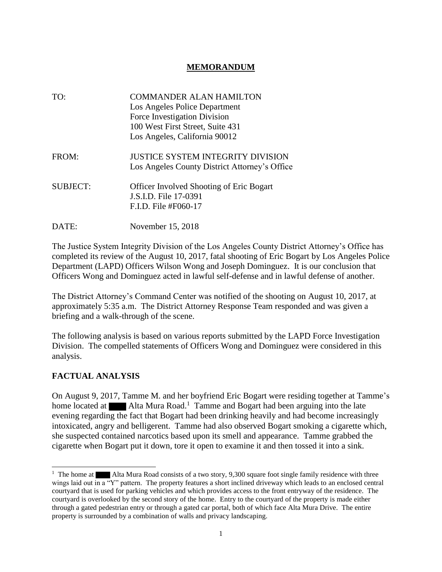### **MEMORANDUM**

| TO:             | <b>COMMANDER ALAN HAMILTON</b><br>Los Angeles Police Department<br>Force Investigation Division<br>100 West First Street, Suite 431<br>Los Angeles, California 90012 |
|-----------------|----------------------------------------------------------------------------------------------------------------------------------------------------------------------|
| FROM:           | <b>JUSTICE SYSTEM INTEGRITY DIVISION</b><br>Los Angeles County District Attorney's Office                                                                            |
| <b>SUBJECT:</b> | <b>Officer Involved Shooting of Eric Bogart</b><br>J.S.I.D. File 17-0391<br>F.I.D. File #F060-17                                                                     |
| DATE:           | November 15, 2018                                                                                                                                                    |

The Justice System Integrity Division of the Los Angeles County District Attorney's Office has completed its review of the August 10, 2017, fatal shooting of Eric Bogart by Los Angeles Police Department (LAPD) Officers Wilson Wong and Joseph Dominguez. It is our conclusion that Officers Wong and Dominguez acted in lawful self-defense and in lawful defense of another.

The District Attorney's Command Center was notified of the shooting on August 10, 2017, at approximately 5:35 a.m. The District Attorney Response Team responded and was given a briefing and a walk-through of the scene.

The following analysis is based on various reports submitted by the LAPD Force Investigation Division. The compelled statements of Officers Wong and Dominguez were considered in this analysis.

### **FACTUAL ANALYSIS**

On August 9, 2017, Tamme M. and her boyfriend Eric Bogart were residing together at Tamme's home located at  $\blacksquare$  Alta Mura Road.<sup>1</sup> Tamme and Bogart had been arguing into the late evening regarding the fact that Bogart had been drinking heavily and had become increasingly intoxicated, angry and belligerent. Tamme had also observed Bogart smoking a cigarette which, she suspected contained narcotics based upon its smell and appearance. Tamme grabbed the cigarette when Bogart put it down, tore it open to examine it and then tossed it into a sink.

<sup>&</sup>lt;sup>1</sup> The home at Alta Mura Road consists of a two story, 9,300 square foot single family residence with three wings laid out in a "Y" pattern. The property features a short inclined driveway which leads to an enclosed central courtyard that is used for parking vehicles and which provides access to the front entryway of the residence. The courtyard is overlooked by the second story of the home. Entry to the courtyard of the property is made either through a gated pedestrian entry or through a gated car portal, both of which face Alta Mura Drive. The entire property is surrounded by a combination of walls and privacy landscaping.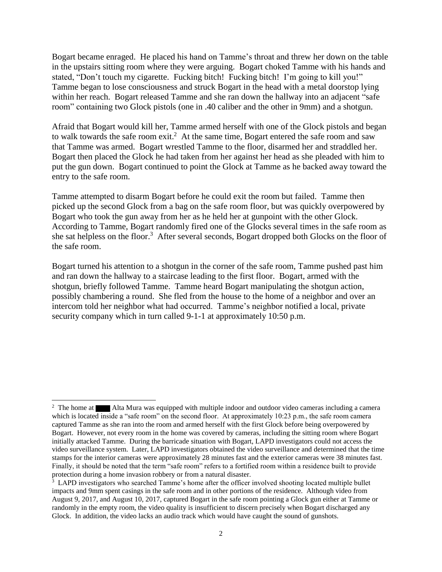Bogart became enraged. He placed his hand on Tamme's throat and threw her down on the table in the upstairs sitting room where they were arguing. Bogart choked Tamme with his hands and stated, "Don't touch my cigarette. Fucking bitch! Fucking bitch! I'm going to kill you!" Tamme began to lose consciousness and struck Bogart in the head with a metal doorstop lying within her reach. Bogart released Tamme and she ran down the hallway into an adjacent "safe room" containing two Glock pistols (one in .40 caliber and the other in 9mm) and a shotgun.

Afraid that Bogart would kill her, Tamme armed herself with one of the Glock pistols and began to walk towards the safe room exit.<sup>2</sup> At the same time, Bogart entered the safe room and saw that Tamme was armed. Bogart wrestled Tamme to the floor, disarmed her and straddled her. Bogart then placed the Glock he had taken from her against her head as she pleaded with him to put the gun down. Bogart continued to point the Glock at Tamme as he backed away toward the entry to the safe room.

Tamme attempted to disarm Bogart before he could exit the room but failed. Tamme then picked up the second Glock from a bag on the safe room floor, but was quickly overpowered by Bogart who took the gun away from her as he held her at gunpoint with the other Glock. According to Tamme, Bogart randomly fired one of the Glocks several times in the safe room as she sat helpless on the floor.<sup>3</sup> After several seconds, Bogart dropped both Glocks on the floor of the safe room.

Bogart turned his attention to a shotgun in the corner of the safe room, Tamme pushed past him and ran down the hallway to a staircase leading to the first floor. Bogart, armed with the shotgun, briefly followed Tamme. Tamme heard Bogart manipulating the shotgun action, possibly chambering a round. She fled from the house to the home of a neighbor and over an intercom told her neighbor what had occurred. Tamme's neighbor notified a local, private security company which in turn called 9-1-1 at approximately 10:50 p.m.

 $\overline{a}$ 

<sup>&</sup>lt;sup>2</sup> The home at Alta Mura was equipped with multiple indoor and outdoor video cameras including a camera which is located inside a "safe room" on the second floor. At approximately 10:23 p.m., the safe room camera captured Tamme as she ran into the room and armed herself with the first Glock before being overpowered by Bogart. However, not every room in the home was covered by cameras, including the sitting room where Bogart initially attacked Tamme. During the barricade situation with Bogart, LAPD investigators could not access the video surveillance system. Later, LAPD investigators obtained the video surveillance and determined that the time stamps for the interior cameras were approximately 28 minutes fast and the exterior cameras were 38 minutes fast. Finally, it should be noted that the term "safe room" refers to a fortified room within a residence built to provide protection during a home invasion robbery or from a natural disaster.

<sup>&</sup>lt;sup>3</sup> LAPD investigators who searched Tamme's home after the officer involved shooting located multiple bullet impacts and 9mm spent casings in the safe room and in other portions of the residence. Although video from August 9, 2017, and August 10, 2017, captured Bogart in the safe room pointing a Glock gun either at Tamme or randomly in the empty room, the video quality is insufficient to discern precisely when Bogart discharged any Glock. In addition, the video lacks an audio track which would have caught the sound of gunshots.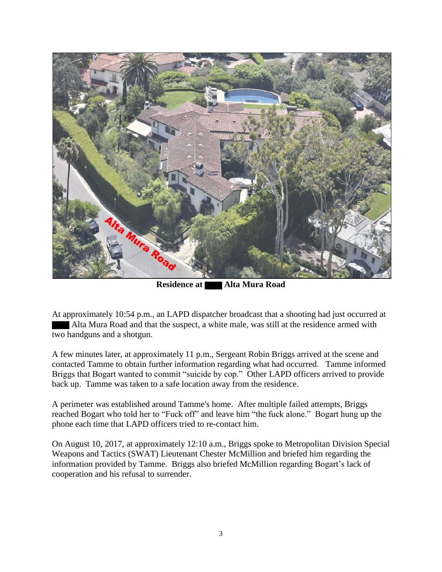

**Residence at Alta Mura Road** 

At approximately 10:54 p.m., an LAPD dispatcher broadcast that a shooting had just occurred at Alta Mura Road and that the suspect, a white male, was still at the residence armed with two handguns and a shotgun.

A few minutes later, at approximately 11 p.m., Sergeant Robin Briggs arrived at the scene and contacted Tamme to obtain further information regarding what had occurred. Tamme informed Briggs that Bogart wanted to commit "suicide by cop." Other LAPD officers arrived to provide back up. Tamme was taken to a safe location away from the residence.

A perimeter was established around Tamme's home. After multiple failed attempts, Briggs reached Bogart who told her to "Fuck off" and leave him "the fuck alone." Bogart hung up the phone each time that LAPD officers tried to re-contact him.

On August 10, 2017, at approximately 12:10 a.m., Briggs spoke to Metropolitan Division Special Weapons and Tactics (SWAT) Lieutenant Chester McMillion and briefed him regarding the information provided by Tamme. Briggs also briefed McMillion regarding Bogart's lack of cooperation and his refusal to surrender.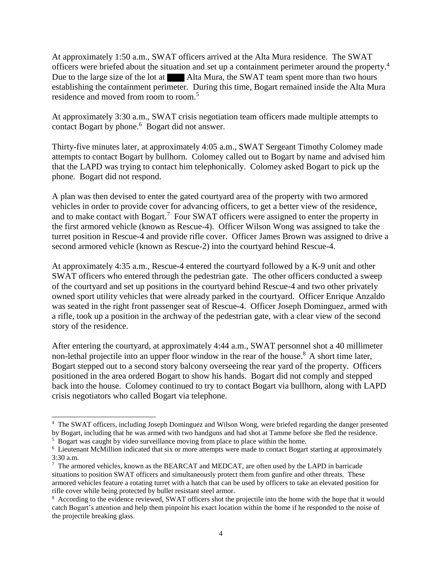At approximately 1:50 a.m., SWAT officers arrived at the Alta Mura residence. The SWAT officers were briefed about the situation and set up a containment perimeter around the property.<sup>4</sup> Due to the large size of the lot at  $\blacksquare$  Alta Mura, the SWAT team spent more than two hours establishing the containment perimeter. During this time, Bogart remained inside the Alta Mura residence and moved from room to room.<sup>5</sup>

At approximately 3:30 a.m., SWAT crisis negotiation team officers made multiple attempts to contact Bogart by phone.<sup>6</sup> Bogart did not answer.

Thirty-five minutes later, at approximately 4:05 a.m., SWAT Sergeant Timothy Colomey made attempts to contact Bogart by bullhorn. Colomey called out to Bogart by name and advised him that the LAPD was trying to contact him telephonically. Colomey asked Bogart to pick up the phone. Bogart did not respond.

A plan was then devised to enter the gated courtyard area of the property with two armored vehicles in order to provide cover for advancing officers, to get a better view of the residence, and to make contact with Bogart.<sup>7</sup> Four SWAT officers were assigned to enter the property in the first armored vehicle (known as Rescue-4). Officer Wilson Wong was assigned to take the turret position in Rescue-4 and provide rifle cover. Officer James Brown was assigned to drive a second armored vehicle (known as Rescue-2) into the courtyard behind Rescue-4.

At approximately 4:35 a.m., Rescue-4 entered the courtyard followed by a K-9 unit and other SWAT officers who entered through the pedestrian gate. The other officers conducted a sweep of the courtyard and set up positions in the courtyard behind Rescue-4 and two other privately owned sport utility vehicles that were already parked in the courtyard. Officer Enrique Anzaldo was seated in the right front passenger seat of Rescue-4. Officer Joseph Dominguez, armed with a rifle, took up a position in the archway of the pedestrian gate, with a clear view of the second story of the residence.

After entering the courtyard, at approximately 4:44 a.m., SWAT personnel shot a 40 millimeter non-lethal projectile into an upper floor window in the rear of the house.<sup>8</sup> A short time later, Bogart stepped out to a second story balcony overseeing the rear yard of the property. Officers positioned in the area ordered Bogart to show his hands. Bogart did not comply and stepped back into the house. Colomey continued to try to contact Bogart via bullhorn, along with LAPD crisis negotiators who called Bogart via telephone.

 $\overline{a}$ 

<sup>4</sup> The SWAT officers, including Joseph Dominguez and Wilson Wong, were briefed regarding the danger presented by Bogart, including that he was armed with two handguns and had shot at Tamme before she fled the residence.

<sup>&</sup>lt;sup>5</sup> Bogart was caught by video surveillance moving from place to place within the home.

<sup>&</sup>lt;sup>6</sup> Lieutenant McMillion indicated that six or more attempts were made to contact Bogart starting at approximately 3:30 a.m.

 $7$  The armored vehicles, known as the BEARCAT and MEDCAT, are often used by the LAPD in barricade situations to position SWAT officers and simultaneously protect them from gunfire and other threats. These armored vehicles feature a rotating turret with a hatch that can be used by officers to take an elevated position for rifle cover while being protected by bullet resistant steel armor.

<sup>&</sup>lt;sup>8</sup> According to the evidence reviewed, SWAT officers shot the projectile into the home with the hope that it would catch Bogart's attention and help them pinpoint his exact location within the home if he responded to the noise of the projectile breaking glass.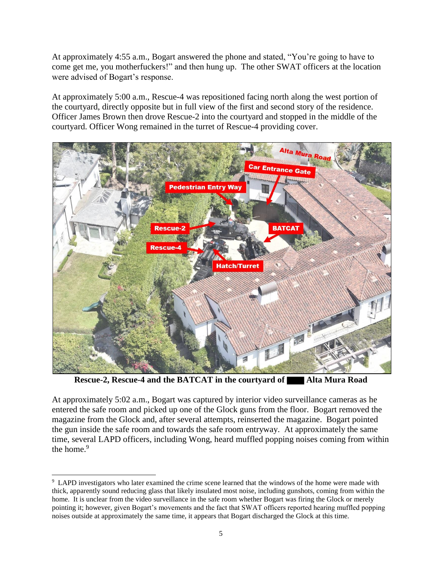At approximately 4:55 a.m., Bogart answered the phone and stated, "You're going to have to come get me, you motherfuckers!" and then hung up. The other SWAT officers at the location were advised of Bogart's response.

At approximately 5:00 a.m., Rescue-4 was repositioned facing north along the west portion of the courtyard, directly opposite but in full view of the first and second story of the residence. Officer James Brown then drove Rescue-2 into the courtyard and stopped in the middle of the courtyard. Officer Wong remained in the turret of Rescue-4 providing cover.



**Rescue-2, Rescue-4 and the BATCAT in the courtyard of Alta Mura Road** 

At approximately 5:02 a.m., Bogart was captured by interior video surveillance cameras as he entered the safe room and picked up one of the Glock guns from the floor. Bogart removed the magazine from the Glock and, after several attempts, reinserted the magazine. Bogart pointed the gun inside the safe room and towards the safe room entryway. At approximately the same time, several LAPD officers, including Wong, heard muffled popping noises coming from within the home.<sup>9</sup>

 $\overline{a}$ 

<sup>&</sup>lt;sup>9</sup> LAPD investigators who later examined the crime scene learned that the windows of the home were made with thick, apparently sound reducing glass that likely insulated most noise, including gunshots, coming from within the home. It is unclear from the video surveillance in the safe room whether Bogart was firing the Glock or merely pointing it; however, given Bogart's movements and the fact that SWAT officers reported hearing muffled popping noises outside at approximately the same time, it appears that Bogart discharged the Glock at this time.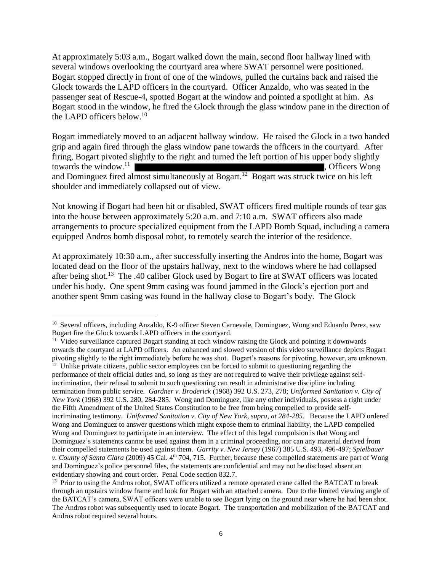At approximately 5:03 a.m., Bogart walked down the main, second floor hallway lined with several windows overlooking the courtyard area where SWAT personnel were positioned. Bogart stopped directly in front of one of the windows, pulled the curtains back and raised the Glock towards the LAPD officers in the courtyard. Officer Anzaldo, who was seated in the passenger seat of Rescue-4, spotted Bogart at the window and pointed a spotlight at him. As Bogart stood in the window, he fired the Glock through the glass window pane in the direction of the LAPD officers below.<sup>10</sup>

Bogart immediately moved to an adjacent hallway window. He raised the Glock in a two handed grip and again fired through the glass window pane towards the officers in the courtyard. After firing, Bogart pivoted slightly to the right and turned the left portion of his upper body slightly towards the window. $11$  , Officers Wong and Dominguez fired almost simultaneously at Bogart.<sup>12</sup> Bogart was struck twice on his left shoulder and immediately collapsed out of view.

Not knowing if Bogart had been hit or disabled, SWAT officers fired multiple rounds of tear gas into the house between approximately 5:20 a.m. and 7:10 a.m. SWAT officers also made arrangements to procure specialized equipment from the LAPD Bomb Squad, including a camera equipped Andros bomb disposal robot, to remotely search the interior of the residence.

At approximately 10:30 a.m., after successfully inserting the Andros into the home, Bogart was located dead on the floor of the upstairs hallway, next to the windows where he had collapsed after being shot.<sup>13</sup> The .40 caliber Glock used by Bogart to fire at SWAT officers was located under his body. One spent 9mm casing was found jammed in the Glock's ejection port and another spent 9mm casing was found in the hallway close to Bogart's body. The Glock

 $\overline{a}$ 

<sup>11</sup> Video surveillance captured Bogart standing at each window raising the Glock and pointing it downwards towards the courtyard at LAPD officers. An enhanced and slowed version of this video surveillance depicts Bogart pivoting slightly to the right immediately before he was shot. Bogart's reasons for pivoting, however, are unknown.  $12$  Unlike private citizens, public sector employees can be forced to submit to questioning regarding the performance of their official duties and, so long as they are not required to waive their privilege against selfincrimination, their refusal to submit to such questioning can result in administrative discipline including termination from public service. *Gardner v. Broderick* (1968) 392 U.S. 273, 278; *Uniformed Sanitation v. City of New York* (1968) 392 U.S. 280, 284-285. Wong and Dominguez, like any other individuals, possess a right under the Fifth Amendment of the United States Constitution to be free from being compelled to provide selfincriminating testimony. *Uniformed Sanitation v. City of New York, supra, at 284-285.* Because the LAPD ordered Wong and Dominguez to answer questions which might expose them to criminal liability, the LAPD compelled Wong and Dominguez to participate in an interview. The effect of this legal compulsion is that Wong and Dominguez's statements cannot be used against them in a criminal proceeding, nor can any material derived from their compelled statements be used against them. *Garrity v. New Jersey* (1967) 385 U.S. 493, 496-497; *Spielbauer v. County of Santa Clara* (2009) 45 Cal. 4th 704, 715. Further, because these compelled statements are part of Wong and Dominguez's police personnel files, the statements are confidential and may not be disclosed absent an evidentiary showing and court order. Penal Code section 832.7.

<sup>&</sup>lt;sup>10</sup> Several officers, including Anzaldo, K-9 officer Steven Carnevale, Dominguez, Wong and Eduardo Perez, saw Bogart fire the Glock towards LAPD officers in the courtyard.

<sup>&</sup>lt;sup>13</sup> Prior to using the Andros robot, SWAT officers utilized a remote operated crane called the BATCAT to break through an upstairs window frame and look for Bogart with an attached camera. Due to the limited viewing angle of the BATCAT's camera, SWAT officers were unable to see Bogart lying on the ground near where he had been shot. The Andros robot was subsequently used to locate Bogart. The transportation and mobilization of the BATCAT and Andros robot required several hours.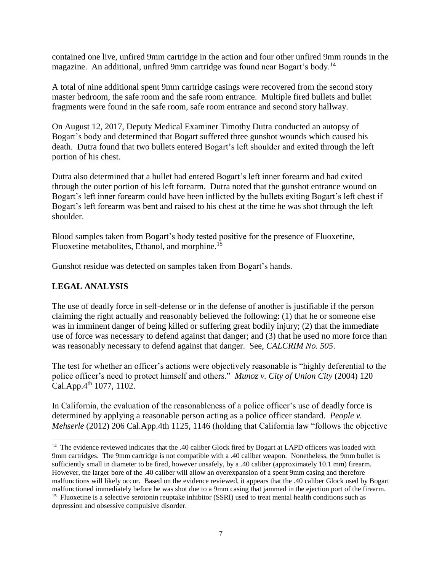contained one live, unfired 9mm cartridge in the action and four other unfired 9mm rounds in the magazine. An additional, unfired 9mm cartridge was found near Bogart's body.<sup>14</sup>

A total of nine additional spent 9mm cartridge casings were recovered from the second story master bedroom, the safe room and the safe room entrance. Multiple fired bullets and bullet fragments were found in the safe room, safe room entrance and second story hallway.

On August 12, 2017, Deputy Medical Examiner Timothy Dutra conducted an autopsy of Bogart's body and determined that Bogart suffered three gunshot wounds which caused his death. Dutra found that two bullets entered Bogart's left shoulder and exited through the left portion of his chest.

Dutra also determined that a bullet had entered Bogart's left inner forearm and had exited through the outer portion of his left forearm. Dutra noted that the gunshot entrance wound on Bogart's left inner forearm could have been inflicted by the bullets exiting Bogart's left chest if Bogart's left forearm was bent and raised to his chest at the time he was shot through the left shoulder.

Blood samples taken from Bogart's body tested positive for the presence of Fluoxetine, Fluoxetine metabolites, Ethanol, and morphine.<sup>15</sup>

Gunshot residue was detected on samples taken from Bogart's hands.

# **LEGAL ANALYSIS**

l

The use of deadly force in self-defense or in the defense of another is justifiable if the person claiming the right actually and reasonably believed the following: (1) that he or someone else was in imminent danger of being killed or suffering great bodily injury; (2) that the immediate use of force was necessary to defend against that danger; and (3) that he used no more force than was reasonably necessary to defend against that danger. See, *CALCRIM No. 505*.

The test for whether an officer's actions were objectively reasonable is "highly deferential to the police officer's need to protect himself and others." *Munoz v. City of Union City* (2004) 120 Cal.App. $4^{th}$  1077, 1102.

In California, the evaluation of the reasonableness of a police officer's use of deadly force is determined by applying a reasonable person acting as a police officer standard. *[People v.](https://advance.lexis.com/api/document/collection/cases/id/55V4-VH01-F04B-N0PT-00000-00?context=1000516)  Mehserle* [\(2012\) 206 Cal.App.4th 1125, 1146 \(](https://advance.lexis.com/api/document/collection/cases/id/55V4-VH01-F04B-N0PT-00000-00?context=1000516)holding that California law "follows the objective

<sup>&</sup>lt;sup>14</sup> The evidence reviewed indicates that the .40 caliber Glock fired by Bogart at LAPD officers was loaded with 9mm cartridges. The 9mm cartridge is not compatible with a .40 caliber weapon. Nonetheless, the 9mm bullet is sufficiently small in diameter to be fired, however unsafely, by a .40 caliber (approximately 10.1 mm) firearm. However, the larger bore of the .40 caliber will allow an overexpansion of a spent 9mm casing and therefore malfunctions will likely occur. Based on the evidence reviewed, it appears that the .40 caliber Glock used by Bogart malfunctioned immediately before he was shot due to a 9mm casing that jammed in the ejection port of the firearm. <sup>15</sup> Fluoxetine is a selective serotonin reuptake inhibitor (SSRI) used to treat mental health conditions such as

depression and obsessive compulsive disorder.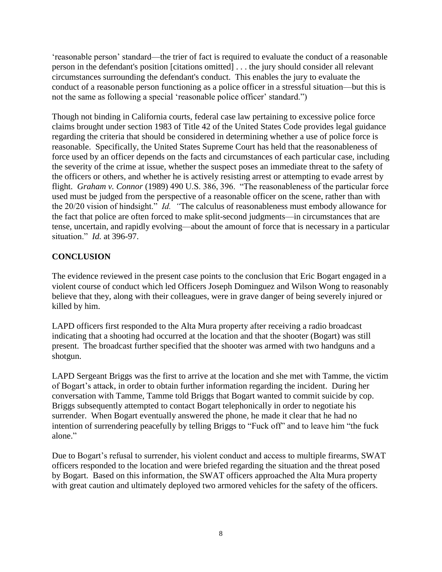'reasonable person' standard—the trier of fact is required to evaluate the conduct of a reasonable person in the defendant's position [citations omitted] . . . the jury should consider all relevant circumstances surrounding the defendant's conduct. This enables the jury to evaluate the conduct of a reasonable person functioning as a police officer in a stressful situation—but this is not the same as following a special 'reasonable police officer' standard.")

Though not binding in California courts, federal case law pertaining to excessive police force claims brought under section 1983 of Title 42 of the United States Code provides legal guidance regarding the criteria that should be considered in determining whether a use of police force is reasonable. Specifically, the United States Supreme Court has held that the reasonableness of force used by an officer depends on the facts and circumstances of each particular case, including the severity of the crime at issue, whether the suspect poses an immediate threat to the safety of the officers or others, and whether he is actively resisting arrest or attempting to evade arrest by flight. *Graham v. Connor* (1989) 490 U.S. 386, 396. "The reasonableness of the particular force used must be judged from the perspective of a reasonable officer on the scene, rather than with the 20/20 vision of hindsight." *Id. "*The calculus of reasonableness must embody allowance for the fact that police are often forced to make split-second judgments—in circumstances that are tense, uncertain, and rapidly evolving—about the amount of force that is necessary in a particular situation." *Id.* at 396-97.

# **CONCLUSION**

The evidence reviewed in the present case points to the conclusion that Eric Bogart engaged in a violent course of conduct which led Officers Joseph Dominguez and Wilson Wong to reasonably believe that they, along with their colleagues, were in grave danger of being severely injured or killed by him.

LAPD officers first responded to the Alta Mura property after receiving a radio broadcast indicating that a shooting had occurred at the location and that the shooter (Bogart) was still present. The broadcast further specified that the shooter was armed with two handguns and a shotgun.

LAPD Sergeant Briggs was the first to arrive at the location and she met with Tamme, the victim of Bogart's attack, in order to obtain further information regarding the incident. During her conversation with Tamme, Tamme told Briggs that Bogart wanted to commit suicide by cop. Briggs subsequently attempted to contact Bogart telephonically in order to negotiate his surrender. When Bogart eventually answered the phone, he made it clear that he had no intention of surrendering peacefully by telling Briggs to "Fuck off" and to leave him "the fuck alone."

Due to Bogart's refusal to surrender, his violent conduct and access to multiple firearms, SWAT officers responded to the location and were briefed regarding the situation and the threat posed by Bogart. Based on this information, the SWAT officers approached the Alta Mura property with great caution and ultimately deployed two armored vehicles for the safety of the officers.